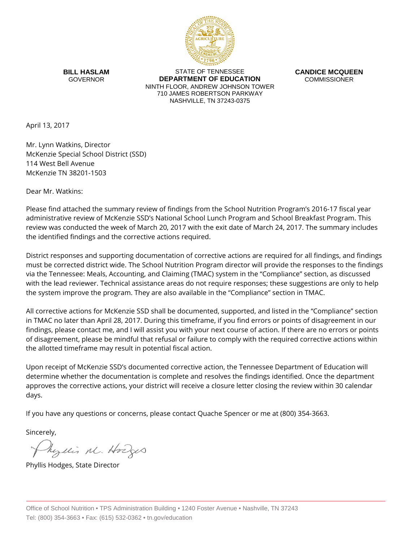

**BILL HASLAM** GOVERNOR

STATE OF TENNESSEE **DEPARTMENT OF EDUCATION** NINTH FLOOR, ANDREW JOHNSON TOWER 710 JAMES ROBERTSON PARKWAY NASHVILLE, TN 37243-0375

**CANDICE MCQUEEN** COMMISSIONER

April 13, 2017

Mr. Lynn Watkins, Director McKenzie Special School District (SSD) 114 West Bell Avenue McKenzie TN 38201-1503

Dear Mr. Watkins:

Please find attached the summary review of findings from the School Nutrition Program's 2016-17 fiscal year administrative review of McKenzie SSD's National School Lunch Program and School Breakfast Program. This review was conducted the week of March 20, 2017 with the exit date of March 24, 2017. The summary includes the identified findings and the corrective actions required.

District responses and supporting documentation of corrective actions are required for all findings, and findings must be corrected district wide. The School Nutrition Program director will provide the responses to the findings via the Tennessee: Meals, Accounting, and Claiming (TMAC) system in the "Compliance" section, as discussed with the lead reviewer. Technical assistance areas do not require responses; these suggestions are only to help the system improve the program. They are also available in the "Compliance" section in TMAC.

All corrective actions for McKenzie SSD shall be documented, supported, and listed in the "Compliance" section in TMAC no later than April 28, 2017. During this timeframe, if you find errors or points of disagreement in our findings, please contact me, and I will assist you with your next course of action. If there are no errors or points of disagreement, please be mindful that refusal or failure to comply with the required corrective actions within the allotted timeframe may result in potential fiscal action.

Upon receipt of McKenzie SSD's documented corrective action, the Tennessee Department of Education will determine whether the documentation is complete and resolves the findings identified. Once the department approves the corrective actions, your district will receive a closure letter closing the review within 30 calendar days.

If you have any questions or concerns, please contact Quache Spencer or me at (800) 354-3663.

Sincerely,

Myllis M. Hodges

Phyllis Hodges, State Director